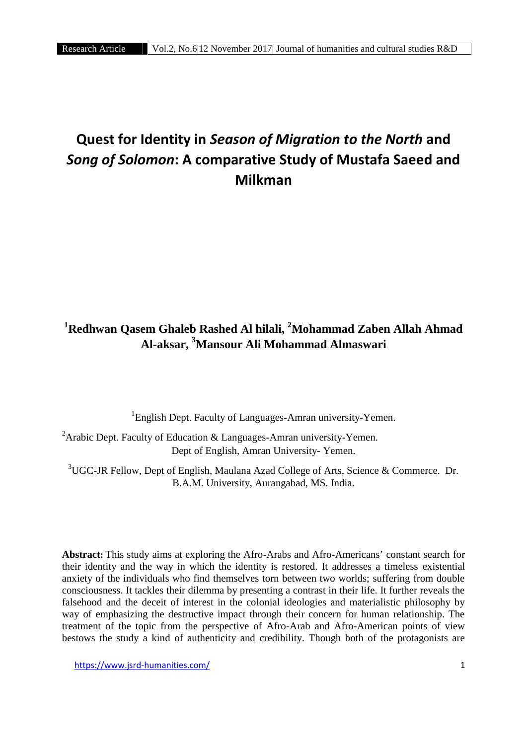# **Quest for Identity in** *Season of Migration to the North* **and** *Song of Solomon***: A comparative Study of Mustafa Saeed and Milkman**

# **<sup>1</sup>Redhwan Qasem Ghaleb Rashed Al hilali, <sup>2</sup>Mohammad Zaben Allah Ahmad Al-aksar, <sup>3</sup>Mansour Ali Mohammad Almaswari**

 ${}^{1}$ English Dept. Faculty of Languages-Amran university-Yemen.

<sup>2</sup>Arabic Dept. Faculty of Education & Languages-Amran university-Yemen. Dept of English, Amran University- Yemen.

<sup>3</sup>UGC-JR Fellow, Dept of English, Maulana Azad College of Arts, Science & Commerce. Dr. B.A.M. University, Aurangabad, MS. India.

**Abstract:** This study aims at exploring the Afro-Arabs and Afro-Americans' constant search for their identity and the way in which the identity is restored. It addresses a timeless existential anxiety of the individuals who find themselves torn between two worlds; suffering from double consciousness. It tackles their dilemma by presenting a contrast in their life. It further reveals the falsehood and the deceit of interest in the colonial ideologies and materialistic philosophy by way of emphasizing the destructive impact through their concern for human relationship. The treatment of the topic from the perspective of Afro-Arab and Afro-American points of view bestows the study a kind of authenticity and credibility. Though both of the protagonists are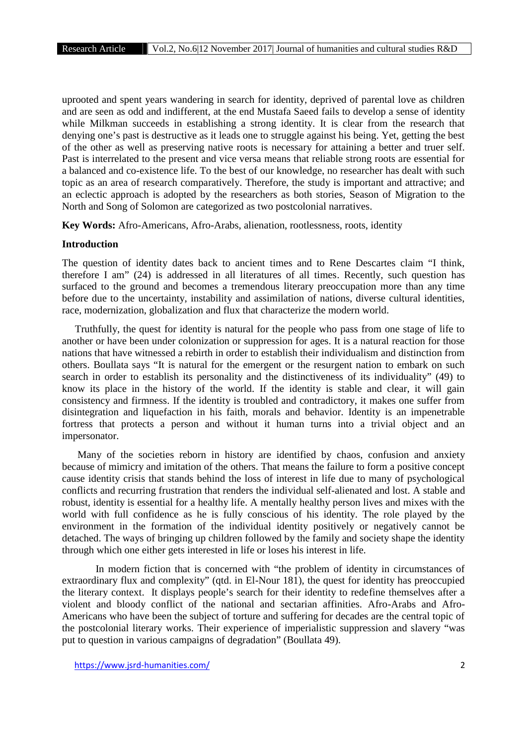uprooted and spent years wandering in search for identity, deprived of parental love as children and are seen as odd and indifferent, at the end Mustafa Saeed fails to develop a sense of identity while Milkman succeeds in establishing a strong identity. It is clear from the research that denying one's past is destructive as it leads one to struggle against his being. Yet, getting the best of the other as well as preserving native roots is necessary for attaining a better and truer self. Past is interrelated to the present and vice versa means that reliable strong roots are essential for a balanced and co-existence life. To the best of our knowledge, no researcher has dealt with such topic as an area of research comparatively. Therefore, the study is important and attractive; and an eclectic approach is adopted by the researchers as both stories, Season of Migration to the North and Song of Solomon are categorized as two postcolonial narratives.

**Key Words:** Afro-Americans, Afro-Arabs, alienation, rootlessness, roots, identity

#### **Introduction**

The question of identity dates back to ancient times and to Rene Descartes claim "I think, therefore I am" (24) is addressed in all literatures of all times. Recently, such question has surfaced to the ground and becomes a tremendous literary preoccupation more than any time before due to the uncertainty, instability and assimilation of nations, diverse cultural identities, race, modernization, globalization and flux that characterize the modern world.

Truthfully, the quest for identity is natural for the people who pass from one stage of life to another or have been under colonization or suppression for ages. It is a natural reaction for those nations that have witnessed a rebirth in order to establish their individualism and distinction from others. Boullata says "It is natural for the emergent or the resurgent nation to embark on such search in order to establish its personality and the distinctiveness of its individuality" (49) to know its place in the history of the world. If the identity is stable and clear, it will gain consistency and firmness. If the identity is troubled and contradictory, it makes one suffer from disintegration and liquefaction in his faith, morals and behavior. Identity is an impenetrable fortress that protects a person and without it human turns into a trivial object and an impersonator.

Many of the societies reborn in history are identified by chaos, confusion and anxiety because of mimicry and imitation of the others. That means the failure to form a positive concept cause identity crisis that stands behind the loss of interest in life due to many of psychological conflicts and recurring frustration that renders the individual self-alienated and lost. A stable and robust, identity is essential for a healthy life. A mentally healthy person lives and mixes with the world with full confidence as he is fully conscious of his identity. The role played by the environment in the formation of the individual identity positively or negatively cannot be detached. The ways of bringing up children followed by the family and society shape the identity through which one either gets interested in life or loses his interest in life.

In modern fiction that is concerned with "the problem of identity in circumstances of extraordinary flux and complexity" (qtd. in El-Nour 181), the quest for identity has preoccupied the literary context. It displays people's search for their identity to redefine themselves after a violent and bloody conflict of the national and sectarian affinities. Afro-Arabs and Afro- Americans who have been the subject of torture and suffering for decades are the central topic of the postcolonial literary works. Their experience of imperialistic suppression and slavery "was put to question in various campaigns of degradation" (Boullata 49).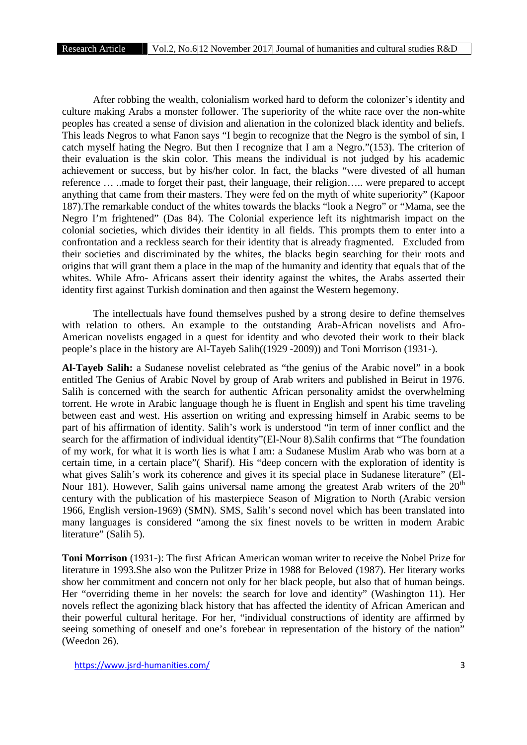After robbing the wealth, colonialism worked hard to deform the colonizer's identity and culture making Arabs a monster follower. The superiority of the white race over the non-white peoples has created a sense of division and alienation in the colonized black identity and beliefs. This leads Negros to what Fanon says "I begin to recognize that the Negro is the symbol of sin, I catch myself hating the Negro. But then I recognize that I am a Negro."(153). The criterion of their evaluation is the skin color. This means the individual is not judged by his academic achievement or success, but by his/her color. In fact, the blacks "were divested of all human reference … ..made to forget their past, their language, their religion….. were prepared to accept anything that came from their masters. They were fed on the myth of white superiority" (Kapoor 187).The remarkable conduct of the whites towards the blacks "look a Negro" or "Mama, see the Negro I'm frightened" (Das 84). The Colonial experience left its nightmarish impact on the colonial societies, which divides their identity in all fields. This prompts them to enter into a confrontation and a reckless search for their identity that is already fragmented. Excluded from their societies and discriminated by the whites, the blacks begin searching for their roots and origins that will grant them a place in the map of the humanity and identity that equals that of the whites. While Afro- Africans assert their identity against the whites, the Arabs asserted their identity first against Turkish domination and then against the Western hegemony.

The intellectuals have found themselves pushed by a strong desire to define themselves with relation to others. An example to the outstanding Arab-African novelists and Afro- American novelists engaged in a quest for identity and who devoted their work to their black people's place in the history are Al-Tayeb Salih((1929 -2009)) and Toni Morrison (1931-).

**Al-Tayeb Salih:** a Sudanese novelist celebrated as "the genius of the Arabic novel" in a book entitled The Genius of Arabic Novel by group of Arab writers and published in Beirut in 1976. Salih is concerned with the search for authentic African personality amidst the overwhelming torrent. He wrote in Arabic language though he is fluent in English and spent his time traveling between east and west. His assertion on writing and expressing himself in Arabic seems to be part of his affirmation of identity. Salih's work is understood "in term of inner conflict and the search for the affirmation of individual identity"(El-Nour 8).Salih confirms that "The foundation of my work, for what it is worth lies is what I am: a Sudanese Muslim Arab who was born at a certain time, in a certain place"( Sharif). His "deep concern with the exploration of identity is what gives Salih's work its coherence and gives it its special place in Sudanese literature" (El- Nour 181). However, Salih gains universal name among the greatest Arab writers of the  $20<sup>th</sup>$ century with the publication of his masterpiece Season of Migration to North (Arabic version 1966, English version-1969) (SMN). SMS, Salih's second novel which has been translated into many languages is considered "among the six finest novels to be written in modern Arabic literature" (Salih 5).

**Toni Morrison** (1931-): The first African American woman writer to receive the Nobel Prize for literature in 1993.She also won the Pulitzer Prize in 1988 for Beloved (1987). Her literary works show her commitment and concern not only for her black people, but also that of human beings. Her "overriding theme in her novels: the search for love and identity" (Washington 11). Her novels reflect the agonizing black history that has affected the identity of African American and their powerful cultural heritage. For her, "individual constructions of identity are affirmed by seeing something of oneself and one's forebear in representation of the history of the nation" (Weedon 26).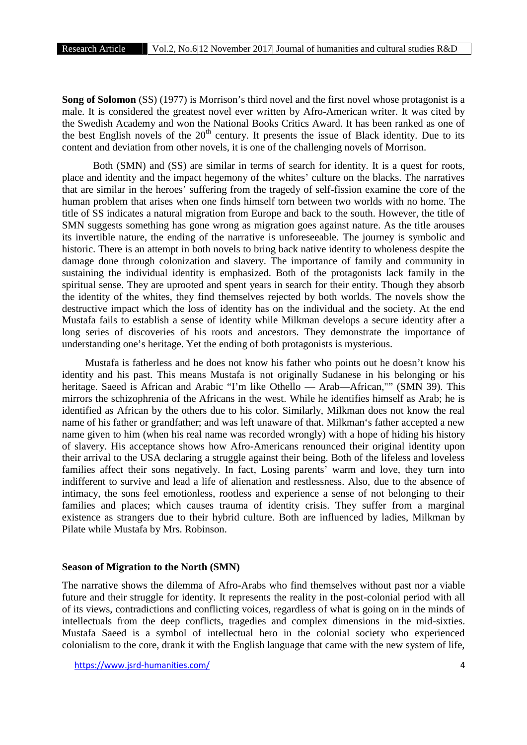**Song of Solomon** (SS) (1977) is Morrison's third novel and the first novel whose protagonist is a male. It is considered the greatest novel ever written by Afro-American writer. It was cited by the Swedish Academy and won the National Books Critics Award. It has been ranked as one of the best English novels of the  $20<sup>th</sup>$  century. It presents the issue of Black identity. Due to its content and deviation from other novels, it is one of the challenging novels of Morrison.

Both (SMN) and (SS) are similar in terms of search for identity. It is a quest for roots, place and identity and the impact hegemony of the whites' culture on the blacks. The narratives that are similar in the heroes' suffering from the tragedy of self-fission examine the core of the human problem that arises when one finds himself torn between two worlds with no home. The title of SS indicates a natural migration from Europe and back to the south. However, the title of SMN suggests something has gone wrong as migration goes against nature. As the title arouses its invertible nature, the ending of the narrative is unforeseeable. The journey is symbolic and historic. There is an attempt in both novels to bring back native identity to wholeness despite the damage done through colonization and slavery. The importance of family and community in sustaining the individual identity is emphasized. Both of the protagonists lack family in the spiritual sense. They are uprooted and spent years in search for their entity. Though they absorb the identity of the whites, they find themselves rejected by both worlds. The novels show the destructive impact which the loss of identity has on the individual and the society. At the end Mustafa fails to establish a sense of identity while Milkman develops a secure identity after a long series of discoveries of his roots and ancestors. They demonstrate the importance of understanding one's heritage. Yet the ending of both protagonists is mysterious.

Mustafa is fatherless and he does not know his father who points out he doesn't know his identity and his past. This means Mustafa is not originally Sudanese in his belonging or his heritage. Saeed is African and Arabic "I'm like Othello — Arab—African,"" (SMN 39). This mirrors the schizophrenia of the Africans in the west. While he identifies himself as Arab; he is identified as African by the others due to his color. Similarly, Milkman does not know the real name of his father or grandfather; and was left unaware of that. Milkman's father accepted a new name given to him (when his real name was recorded wrongly) with a hope of hiding his history of slavery. His acceptance shows how Afro-Americans renounced their original identity upon their arrival to the USA declaring a struggle against their being. Both of the lifeless and loveless families affect their sons negatively. In fact, Losing parents' warm and love, they turn into indifferent to survive and lead a life of alienation and restlessness. Also, due to the absence of intimacy, the sons feel emotionless, rootless and experience a sense of not belonging to their families and places; which causes trauma of identity crisis. They suffer from a marginal existence as strangers due to their hybrid culture. Both are influenced by ladies, Milkman by Pilate while Mustafa by Mrs. Robinson.

# **Season of Migration to the North (SMN)**

The narrative shows the dilemma of Afro-Arabs who find themselves without past nor a viable future and their struggle for identity. It represents the reality in the post-colonial period with all of its views, contradictions and conflicting voices, regardless of what is going on in the minds of intellectuals from the deep conflicts, tragedies and complex dimensions in the mid-sixties. Mustafa Saeed is a symbol of intellectual hero in the colonial society who experienced colonialism to the core, drank it with the English language that came with the new system of life,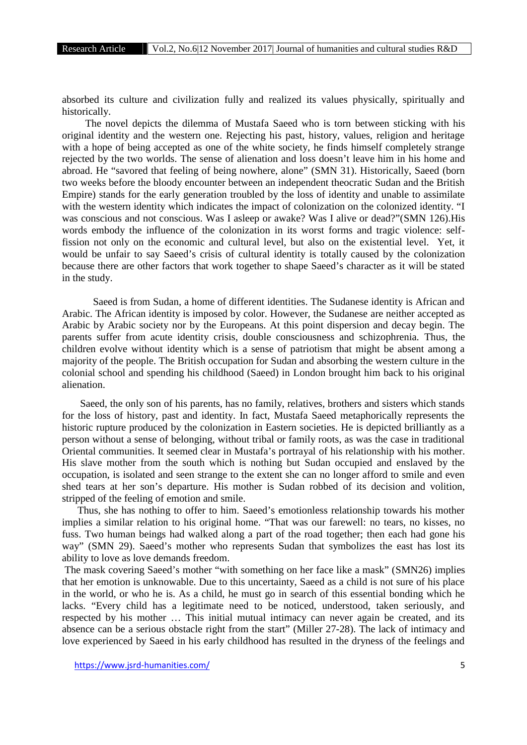absorbed its culture and civilization fully and realized its values physically, spiritually and historically.

The novel depicts the dilemma of Mustafa Saeed who is torn between sticking with his original identity and the western one. Rejecting his past, history, values, religion and heritage with a hope of being accepted as one of the white society, he finds himself completely strange rejected by the two worlds. The sense of alienation and loss doesn't leave him in his home and abroad. He "savored that feeling of being nowhere, alone" (SMN 31). Historically, Saeed (born two weeks before the bloody encounter between an independent theocratic Sudan and the British Empire) stands for the early generation troubled by the loss of identity and unable to assimilate with the western identity which indicates the impact of colonization on the colonized identity. "I was conscious and not conscious. Was I asleep or awake? Was I alive or dead?"(SMN 126). His words embody the influence of the colonization in its worst forms and tragic violence: selffission not only on the economic and cultural level, but also on the existential level. Yet, it would be unfair to say Saeed's crisis of cultural identity is totally caused by the colonization because there are other factors that work together to shape Saeed's character as it will be stated in the study.

Saeed is from Sudan, a home of different identities. The Sudanese identity is African and Arabic. The African identity is imposed by color. However, the Sudanese are neither accepted as Arabic by Arabic society nor by the Europeans. At this point dispersion and decay begin. The parents suffer from acute identity crisis, double consciousness and schizophrenia. Thus, the children evolve without identity which is a sense of patriotism that might be absent among a majority of the people. The British occupation for Sudan and absorbing the western culture in the colonial school and spending his childhood (Saeed) in London brought him back to his original alienation.

Saeed, the only son of his parents, has no family, relatives, brothers and sisters which stands for the loss of history, past and identity. In fact, Mustafa Saeed metaphorically represents the historic rupture produced by the colonization in Eastern societies. He is depicted brilliantly as a person without a sense of belonging, without tribal or family roots, as was the case in traditional Oriental communities. It seemed clear in Mustafa's portrayal of his relationship with his mother. His slave mother from the south which is nothing but Sudan occupied and enslaved by the occupation, is isolated and seen strange to the extent she can no longer afford to smile and even shed tears at her son's departure. His mother is Sudan robbed of its decision and volition, stripped of the feeling of emotion and smile.

Thus, she has nothing to offer to him. Saeed's emotionless relationship towards his mother implies a similar relation to his original home. "That was our farewell: no tears, no kisses, no fuss. Two human beings had walked along a part of the road together; then each had gone his way" (SMN 29). Saeed's mother who represents Sudan that symbolizes the east has lost its ability to love as love demands freedom.

The mask covering Saeed's mother "with something on her face like a mask" (SMN26) implies that her emotion is unknowable. Due to this uncertainty, Saeed as a child is not sure of his place in the world, or who he is. As a child, he must go in search of this essential bonding which he lacks. "Every child has a legitimate need to be noticed, understood, taken seriously, and respected by his mother … This initial mutual intimacy can never again be created, and its absence can be a serious obstacle right from the start" (Miller 27-28). The lack of intimacy and love experienced by Saeed in his early childhood has resulted in the dryness of the feelings and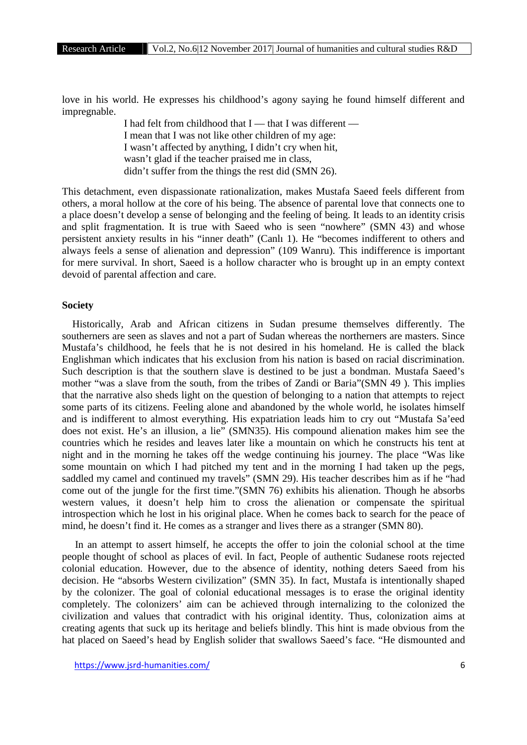love in his world. He expresses his childhood's agony saying he found himself different and impregnable.

> I had felt from childhood that  $I$  — that I was different — I mean that I was not like other children of my age: I wasn't affected by anything, I didn't cry when hit, wasn't glad if the teacher praised me in class, didn't suffer from the things the rest did (SMN 26).

This detachment, even dispassionate rationalization, makes Mustafa Saeed feels different from others, a moral hollow at the core of his being. The absence of parental love that connects one to a place doesn't develop a sense of belonging and the feeling of being. It leads to an identity crisis and split fragmentation. It is true with Saeed who is seen "nowhere" (SMN 43) and whose persistent anxiety results in his "inner death" (Canlı 1). He "becomes indifferent to others and always feels a sense of alienation and depression" (109 Wanru). This indifference is important for mere survival. In short, Saeed is a hollow character who is brought up in an empty context devoid of parental affection and care.

# **Society**

Historically, Arab and African citizens in Sudan presume themselves differently. The southerners are seen as slaves and not a part of Sudan whereas the northerners are masters. Since Mustafa's childhood, he feels that he is not desired in his homeland. He is called the black Englishman which indicates that his exclusion from his nation is based on racial discrimination. Such description is that the southern slave is destined to be just a bondman. Mustafa Saeed's mother "was a slave from the south, from the tribes of Zandi or Baria"(SMN 49 ). This implies that the narrative also sheds light on the question of belonging to a nation that attempts to reject some parts of its citizens. Feeling alone and abandoned by the whole world, he isolates himself and is indifferent to almost everything. His expatriation leads him to cry out "Mustafa Sa'eed does not exist. He's an illusion, a lie" (SMN35). His compound alienation makes him see the countries which he resides and leaves later like a mountain on which he constructs his tent at night and in the morning he takes off the wedge continuing his journey. The place "Was like some mountain on which I had pitched my tent and in the morning I had taken up the pegs, saddled my camel and continued my travels" (SMN 29). His teacher describes him as if he "had come out of the jungle for the first time."(SMN 76) exhibits his alienation. Though he absorbs western values, it doesn't help him to cross the alienation or compensate the spiritual introspection which he lost in his original place. When he comes back to search for the peace of mind, he doesn't find it. He comes as a stranger and lives there as a stranger (SMN 80).

In an attempt to assert himself, he accepts the offer to join the colonial school at the time people thought of school as places of evil. In fact, People of authentic Sudanese roots rejected colonial education. However, due to the absence of identity, nothing deters Saeed from his decision. He "absorbs Western civilization" (SMN 35). In fact, Mustafa is intentionally shaped by the colonizer. The goal of colonial educational messages is to erase the original identity completely. The colonizers' aim can be achieved through internalizing to the colonized the civilization and values that contradict with his original identity. Thus, colonization aims at creating agents that suck up its heritage and beliefs blindly. This hint is made obvious from the hat placed on Saeed's head by English solider that swallows Saeed's face. "He dismounted and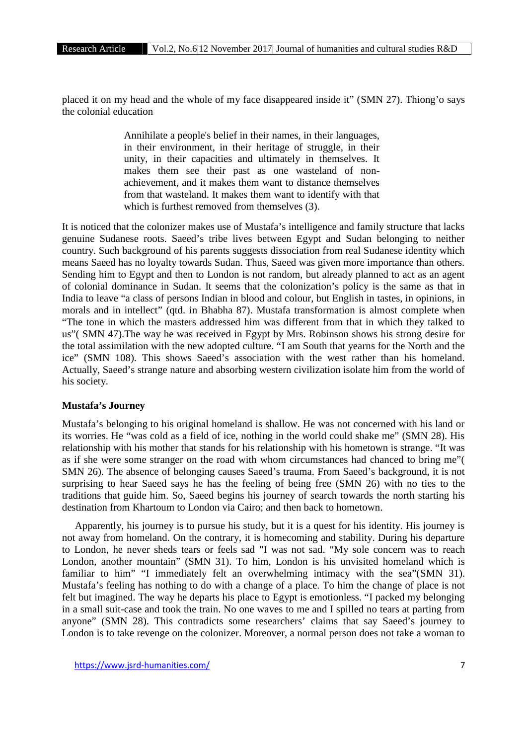placed it on my head and the whole of my face disappeared inside it" (SMN 27). Thiong'o says the colonial education

> Annihilate a people's belief in their names, in their languages, in their environment, in their heritage of struggle, in their unity, in their capacities and ultimately in themselves. It makes them see their past as one wasteland of non achievement, and it makes them want to distance themselves from that wasteland. It makes them want to identify with that which is furthest removed from themselves  $(3)$ .

It is noticed that the colonizer makes use of Mustafa's intelligence and family structure that lacks genuine Sudanese roots. Saeed's tribe lives between Egypt and Sudan belonging to neither country. Such background of his parents suggests dissociation from real Sudanese identity which means Saeed has no loyalty towards Sudan. Thus, Saeed was given more importance than others. Sending him to Egypt and then to London is not random, but already planned to act as an agent of colonial dominance in Sudan. It seems that the colonization's policy is the same as that in India to leave "a class of persons Indian in blood and colour, but English in tastes, in opinions, in morals and in intellect" (qtd. in Bhabha 87). Mustafa transformation is almost complete when "The tone in which the masters addressed him was different from that in which they talked to us"( SMN 47).The way he was received in Egypt by Mrs. Robinson shows his strong desire for the total assimilation with the new adopted culture. "I am South that yearns for the North and the ice" (SMN 108). This shows Saeed's association with the west rather than his homeland. Actually, Saeed's strange nature and absorbing western civilization isolate him from the world of his society.

#### **Mustafa's Journey**

Mustafa's belonging to his original homeland is shallow. He was not concerned with his land or its worries. He "was cold as a field of ice, nothing in the world could shake me" (SMN 28). His relationship with his mother that stands for his relationship with his hometown is strange. "It was as if she were some stranger on the road with whom circumstances had chanced to bring me"( SMN 26). The absence of belonging causes Saeed's trauma. From Saeed's background, it is not surprising to hear Saeed says he has the feeling of being free (SMN 26) with no ties to the traditions that guide him. So, Saeed begins his journey of search towards the north starting his destination from Khartoum to London via Cairo; and then back to hometown.

Apparently, his journey is to pursue his study, but it is a quest for his identity. His journey is not away from homeland. On the contrary, it is homecoming and stability. During his departure to London, he never sheds tears or feels sad "I was not sad. "My sole concern was to reach London, another mountain" (SMN 31). To him, London is his unvisited homeland which is familiar to him" "I immediately felt an overwhelming intimacy with the sea"(SMN 31). Mustafa's feeling has nothing to do with a change of a place. To him the change of place is not felt but imagined. The way he departs his place to Egypt is emotionless. "I packed my belonging in a small suit-case and took the train. No one waves to me and I spilled no tears at parting from anyone" (SMN 28). This contradicts some researchers' claims that say Saeed's journey to London is to take revenge on the colonizer. Moreover, a normal person does not take a woman to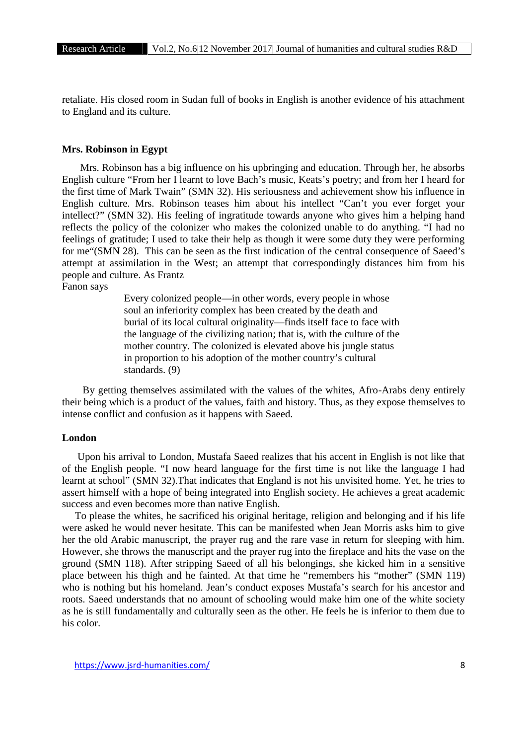retaliate. His closed room in Sudan full of books in English is another evidence of his attachment to England and its culture.

#### **Mrs. Robinson in Egypt**

Mrs. Robinson has a big influence on his upbringing and education. Through her, he absorbs English culture "From her I learnt to love Bach's music, Keats's poetry; and from her I heard for the first time of Mark Twain" (SMN 32). His seriousness and achievement show his influence in English culture. Mrs. Robinson teases him about his intellect "Can't you ever forget your intellect?" (SMN 32). His feeling of ingratitude towards anyone who gives him a helping hand reflects the policy of the colonizer who makes the colonized unable to do anything. "I had no feelings of gratitude; I used to take their help as though it were some duty they were performing for me"(SMN 28). This can be seen as the first indication of the central consequence of Saeed's attempt at assimilation in the West; an attempt that correspondingly distances him from his people and culture. As Frantz

Fanon says

Every colonized people—in other words, every people in whose soul an inferiority complex has been created by the death and burial of its local cultural originality—finds itself face to face with the language of the civilizing nation; that is, with the culture of the mother country. The colonized is elevated above his jungle status in proportion to his adoption of the mother country's cultural standards. (9)

By getting themselves assimilated with the values of the whites, Afro-Arabs deny entirely their being which is a product of the values, faith and history. Thus, as they expose themselves to intense conflict and confusion as it happens with Saeed.

#### **London**

Upon his arrival to London, Mustafa Saeed realizes that his accent in English is not like that of the English people. "I now heard language for the first time is not like the language I had learnt at school" (SMN 32).That indicates that England is not his unvisited home. Yet, he tries to assert himself with a hope of being integrated into English society. He achieves a great academic success and even becomes more than native English.

To please the whites, he sacrificed his original heritage, religion and belonging and if his life were asked he would never hesitate. This can be manifested when Jean Morris asks him to give her the old Arabic manuscript, the prayer rug and the rare vase in return for sleeping with him. However, she throws the manuscript and the prayer rug into the fireplace and hits the vase on the ground (SMN 118). After stripping Saeed of all his belongings, she kicked him in a sensitive place between his thigh and he fainted. At that time he "remembers his "mother" (SMN 119) who is nothing but his homeland. Jean's conduct exposes Mustafa's search for his ancestor and roots. Saeed understands that no amount of schooling would make him one of the white society as he is still fundamentally and culturally seen as the other. He feels he is inferior to them due to his color.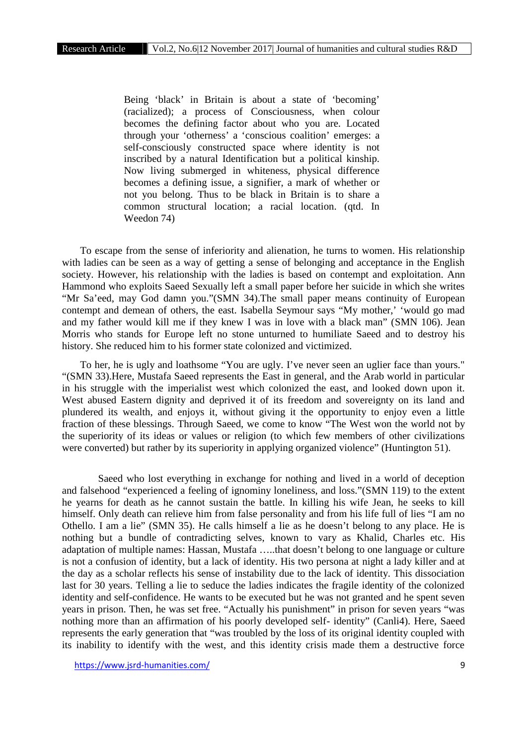Being 'black' in Britain is about a state of 'becoming' (racialized); a process of Consciousness, when colour becomes the defining factor about who you are. Located through your 'otherness' a 'conscious coalition' emerges: a self-consciously constructed space where identity is not inscribed by a natural Identification but a political kinship. Now living submerged in whiteness, physical difference becomes a defining issue, a signifier, a mark of whether or not you belong. Thus to be black in Britain is to share a common structural location; a racial location. (qtd. In Weedon 74)

To escape from the sense of inferiority and alienation, he turns to women. His relationship with ladies can be seen as a way of getting a sense of belonging and acceptance in the English society. However, his relationship with the ladies is based on contempt and exploitation. Ann Hammond who exploits Saeed Sexually left a small paper before her suicide in which she writes "Mr Sa'eed, may God damn you."(SMN 34).The small paper means continuity of European contempt and demean of others, the east. Isabella Seymour says "My mother,' 'would go mad and my father would kill me if they knew I was in love with a black man" (SMN 106). Jean Morris who stands for Europe left no stone unturned to humiliate Saeed and to destroy his history. She reduced him to his former state colonized and victimized.

To her, he is ugly and loathsome "You are ugly. I've never seen an uglier face than yours." "(SMN 33).Here, Mustafa Saeed represents the East in general, and the Arab world in particular in his struggle with the imperialist west which colonized the east, and looked down upon it. West abused Eastern dignity and deprived it of its freedom and sovereignty on its land and plundered its wealth, and enjoys it, without giving it the opportunity to enjoy even a little fraction of these blessings. Through Saeed, we come to know "The West won the world not by the superiority of its ideas or values or religion (to which few members of other civilizations were converted) but rather by its superiority in applying organized violence" (Huntington 51).

Saeed who lost everything in exchange for nothing and lived in a world of deception and falsehood "experienced a feeling of ignominy loneliness, and loss."(SMN 119) to the extent he yearns for death as he cannot sustain the battle. In killing his wife Jean, he seeks to kill himself. Only death can relieve him from false personality and from his life full of lies "I am no Othello. I am a lie" (SMN 35). He calls himself a lie as he doesn't belong to any place. He is nothing but a bundle of contradicting selves, known to vary as Khalid, Charles etc. His adaptation of multiple names: Hassan, Mustafa …..that doesn't belong to one language or culture is not a confusion of identity, but a lack of identity. His two persona at night a lady killer and at the day as a scholar reflects his sense of instability due to the lack of identity. This dissociation last for 30 years. Telling a lie to seduce the ladies indicates the fragile identity of the colonized identity and self-confidence. He wants to be executed but he was not granted and he spent seven years in prison. Then, he was set free. "Actually his punishment" in prison for seven years "was nothing more than an affirmation of his poorly developed self- identity" (Canli4). Here, Saeed represents the early generation that "was troubled by the loss of its original identity coupled with its inability to identify with the west, and this identity crisis made them a destructive force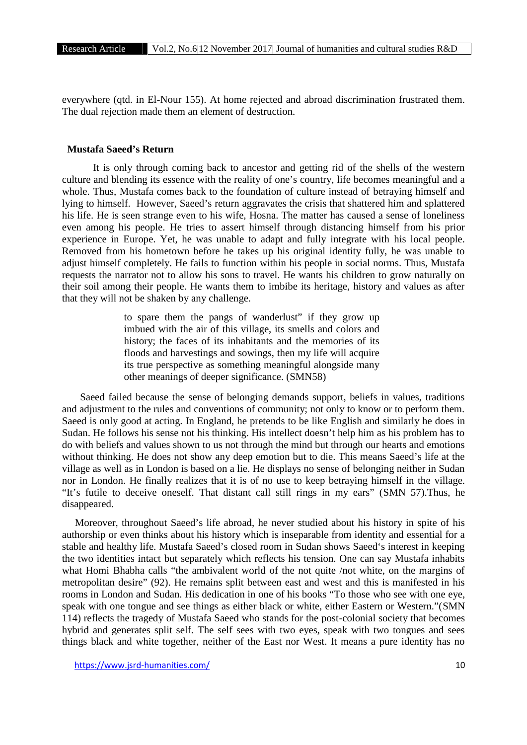everywhere (qtd. in El-Nour 155). At home rejected and abroad discrimination frustrated them. The dual rejection made them an element of destruction.

### **Mustafa Saeed's Return**

It is only through coming back to ancestor and getting rid of the shells of the western culture and blending its essence with the reality of one's country, life becomes meaningful and a whole. Thus, Mustafa comes back to the foundation of culture instead of betraying himself and lying to himself. However, Saeed's return aggravates the crisis that shattered him and splattered his life. He is seen strange even to his wife, Hosna. The matter has caused a sense of loneliness even among his people. He tries to assert himself through distancing himself from his prior experience in Europe. Yet, he was unable to adapt and fully integrate with his local people. Removed from his hometown before he takes up his original identity fully, he was unable to adjust himself completely. He fails to function within his people in social norms. Thus, Mustafa requests the narrator not to allow his sons to travel. He wants his children to grow naturally on their soil among their people. He wants them to imbibe its heritage, history and values as after that they will not be shaken by any challenge.

> to spare them the pangs of wanderlust" if they grow up imbued with the air of this village, its smells and colors and history; the faces of its inhabitants and the memories of its floods and harvestings and sowings, then my life will acquire its true perspective as something meaningful alongside many other meanings of deeper significance. (SMN58)

Saeed failed because the sense of belonging demands support, beliefs in values, traditions and adjustment to the rules and conventions of community; not only to know or to perform them. Saeed is only good at acting. In England, he pretends to be like English and similarly he does in Sudan. He follows his sense not his thinking. His intellect doesn't help him as his problem has to do with beliefs and values shown to us not through the mind but through our hearts and emotions without thinking. He does not show any deep emotion but to die. This means Saeed's life at the village as well as in London is based on a lie. He displays no sense of belonging neither in Sudan nor in London. He finally realizes that it is of no use to keep betraying himself in the village. "It's futile to deceive oneself. That distant call still rings in my ears" (SMN 57).Thus, he disappeared.

Moreover, throughout Saeed's life abroad, he never studied about his history in spite of his authorship or even thinks about his history which is inseparable from identity and essential for a stable and healthy life. Mustafa Saeed's closed room in Sudan shows Saeed's interest in keeping the two identities intact but separately which reflects his tension. One can say Mustafa inhabits what Homi Bhabha calls "the ambivalent world of the not quite /not white, on the margins of metropolitan desire" (92). He remains split between east and west and this is manifested in his rooms in London and Sudan. His dedication in one of his books "To those who see with one eye, speak with one tongue and see things as either black or white, either Eastern or Western."(SMN 114) reflects the tragedy of Mustafa Saeed who stands for the post-colonial society that becomes hybrid and generates split self. The self sees with two eyes, speak with two tongues and sees things black and white together, neither of the East nor West. It means a pure identity has no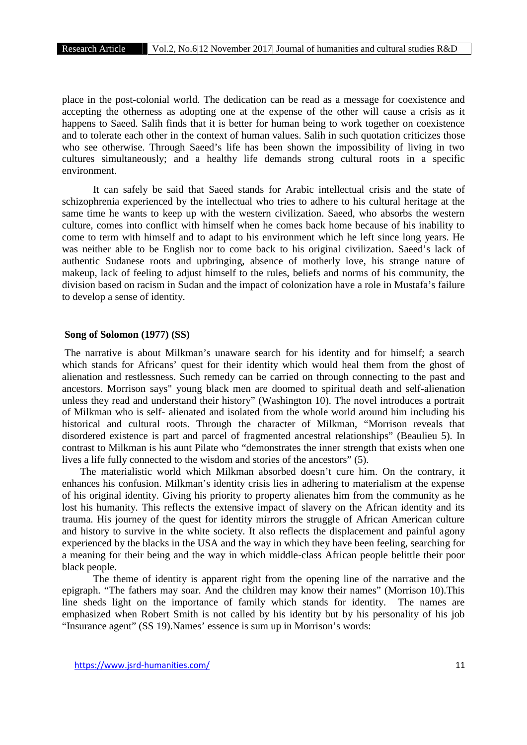place in the post-colonial world. The dedication can be read as a message for coexistence and accepting the otherness as adopting one at the expense of the other will cause a crisis as it happens to Saeed. Salih finds that it is better for human being to work together on coexistence and to tolerate each other in the context of human values. Salih in such quotation criticizes those who see otherwise. Through Saeed's life has been shown the impossibility of living in two cultures simultaneously; and a healthy life demands strong cultural roots in a specific environment.

It can safely be said that Saeed stands for Arabic intellectual crisis and the state of schizophrenia experienced by the intellectual who tries to adhere to his cultural heritage at the same time he wants to keep up with the western civilization. Saeed, who absorbs the western culture, comes into conflict with himself when he comes back home because of his inability to come to term with himself and to adapt to his environment which he left since long years. He was neither able to be English nor to come back to his original civilization. Saeed's lack of authentic Sudanese roots and upbringing, absence of motherly love, his strange nature of makeup, lack of feeling to adjust himself to the rules, beliefs and norms of his community, the division based on racism in Sudan and the impact of colonization have a role in Mustafa's failure to develop a sense of identity.

# **Song of Solomon (1977) (SS)**

The narrative is about Milkman's unaware search for his identity and for himself; a search which stands for Africans' quest for their identity which would heal them from the ghost of alienation and restlessness. Such remedy can be carried on through connecting to the past and ancestors. Morrison says" young black men are doomed to spiritual death and self-alienation unless they read and understand their history" (Washington 10). The novel introduces a portrait of Milkman who is self- alienated and isolated from the whole world around him including his historical and cultural roots. Through the character of Milkman, "Morrison reveals that disordered existence is part and parcel of fragmented ancestral relationships" (Beaulieu 5). In contrast to Milkman is his aunt Pilate who "demonstrates the inner strength that exists when one lives a life fully connected to the wisdom and stories of the ancestors" (5).

The materialistic world which Milkman absorbed doesn't cure him. On the contrary, it enhances his confusion. Milkman's identity crisis lies in adhering to materialism at the expense of his original identity. Giving his priority to property alienates him from the community as he lost his humanity. This reflects the extensive impact of slavery on the African identity and its trauma. His journey of the quest for identity mirrors the struggle of African American culture and history to survive in the white society. It also reflects the displacement and painful agony experienced by the blacks in the USA and the way in which they have been feeling, searching for a meaning for their being and the way in which middle-class African people belittle their poor black people.

The theme of identity is apparent right from the opening line of the narrative and the epigraph. "The fathers may soar. And the children may know their names" (Morrison 10).This line sheds light on the importance of family which stands for identity. The names are emphasized when Robert Smith is not called by his identity but by his personality of his job "Insurance agent" (SS 19).Names' essence is sum up in Morrison's words: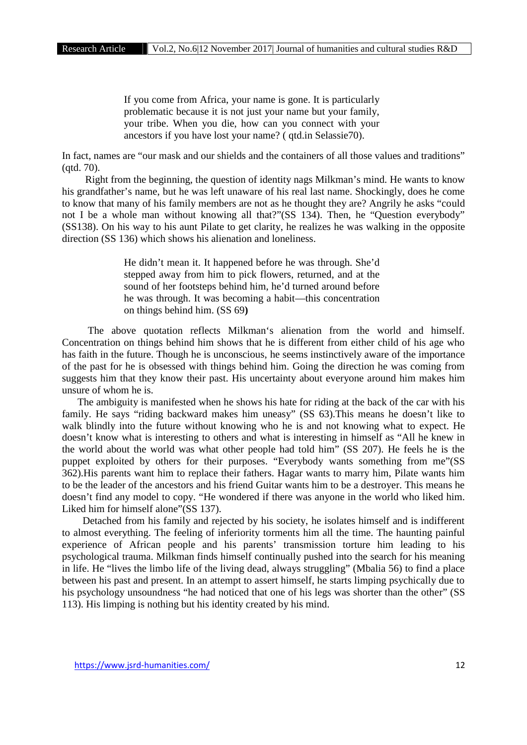If you come from Africa, your name is gone. It is particularly problematic because it is not just your name but your family, your tribe. When you die, how can you connect with your ancestors if you have lost your name? ( qtd.in Selassie70).

In fact, names are "our mask and our shields and the containers of all those values and traditions" (qtd. 70).

Right from the beginning, the question of identity nags Milkman's mind. He wants to know his grandfather's name, but he was left unaware of his real last name. Shockingly, does he come to know that many of his family members are not as he thought they are? Angrily he asks "could not I be a whole man without knowing all that?"(SS 134). Then, he "Question everybody" (SS138). On his way to his aunt Pilate to get clarity, he realizes he was walking in the opposite direction (SS 136) which shows his alienation and loneliness.

> He didn't mean it. It happened before he was through. She'd stepped away from him to pick flowers, returned, and at the sound of her footsteps behind him, he'd turned around before he was through. It was becoming a habit—this concentration on things behind him. (SS 69**)**

The above quotation reflects Milkman's alienation from the world and himself. Concentration on things behind him shows that he is different from either child of his age who has faith in the future. Though he is unconscious, he seems instinctively aware of the importance of the past for he is obsessed with things behind him. Going the direction he was coming from suggests him that they know their past. His uncertainty about everyone around him makes him unsure of whom he is.

The ambiguity is manifested when he shows his hate for riding at the back of the car with his family. He says "riding backward makes him uneasy" (SS 63).This means he doesn't like to walk blindly into the future without knowing who he is and not knowing what to expect. He doesn't know what is interesting to others and what is interesting in himself as "All he knew in the world about the world was what other people had told him" (SS 207). He feels he is the puppet exploited by others for their purposes. "Everybody wants something from me"(SS 362).His parents want him to replace their fathers. Hagar wants to marry him, Pilate wants him to be the leader of the ancestors and his friend Guitar wants him to be a destroyer. This means he doesn't find any model to copy. "He wondered if there was anyone in the world who liked him. Liked him for himself alone"(SS 137).

Detached from his family and rejected by his society, he isolates himself and is indifferent to almost everything. The feeling of inferiority torments him all the time. The haunting painful experience of African people and his parents' transmission torture him leading to his psychological trauma. Milkman finds himself continually pushed into the search for his meaning in life. He "lives the limbo life of the living dead, always struggling" (Mbalia 56) to find a place between his past and present. In an attempt to assert himself, he starts limping psychically due to his psychology unsoundness "he had noticed that one of his legs was shorter than the other" (SS 113). His limping is nothing but his identity created by his mind.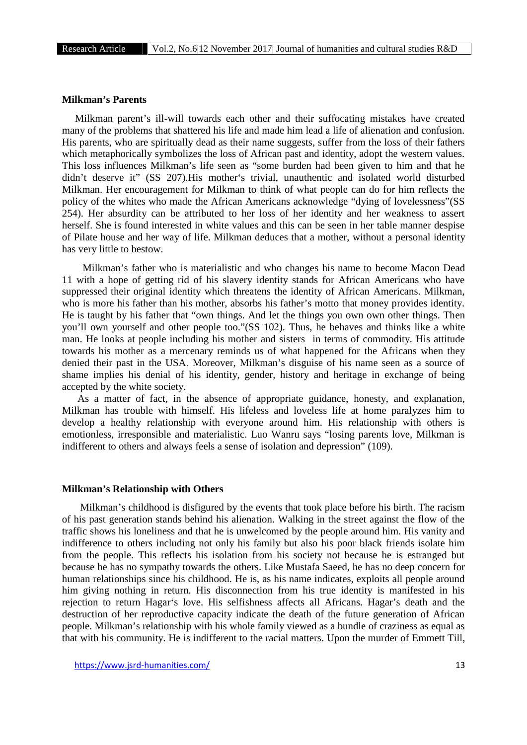#### **Milkman's Parents**

Milkman parent's ill-will towards each other and their suffocating mistakes have created many of the problems that shattered his life and made him lead a life of alienation and confusion. His parents, who are spiritually dead as their name suggests, suffer from the loss of their fathers which metaphorically symbolizes the loss of African past and identity, adopt the western values. This loss influences Milkman's life seen as "some burden had been given to him and that he didn't deserve it" (SS 207).His mother's trivial, unauthentic and isolated world disturbed Milkman. Her encouragement for Milkman to think of what people can do for him reflects the policy of the whites who made the African Americans acknowledge "dying of lovelessness"(SS 254). Her absurdity can be attributed to her loss of her identity and her weakness to assert herself. She is found interested in white values and this can be seen in her table manner despise of Pilate house and her way of life. Milkman deduces that a mother, without a personal identity has very little to bestow.

Milkman's father who is materialistic and who changes his name to become Macon Dead 11 with a hope of getting rid of his slavery identity stands for African Americans who have suppressed their original identity which threatens the identity of African Americans. Milkman, who is more his father than his mother, absorbs his father's motto that money provides identity. He is taught by his father that "own things. And let the things you own own other things. Then you'll own yourself and other people too."(SS 102). Thus, he behaves and thinks like a white man. He looks at people including his mother and sisters in terms of commodity. His attitude towards his mother as a mercenary reminds us of what happened for the Africans when they denied their past in the USA. Moreover, Milkman's disguise of his name seen as a source of shame implies his denial of his identity, gender, history and heritage in exchange of being accepted by the white society.

As a matter of fact, in the absence of appropriate guidance, honesty, and explanation, Milkman has trouble with himself. His lifeless and loveless life at home paralyzes him to develop a healthy relationship with everyone around him. His relationship with others is emotionless, irresponsible and materialistic. Luo Wanru says "losing parents love, Milkman is indifferent to others and always feels a sense of isolation and depression" (109).

#### **Milkman's Relationship with Others**

Milkman's childhood is disfigured by the events that took place before his birth. The racism of his past generation stands behind his alienation. Walking in the street against the flow of the traffic shows his loneliness and that he is unwelcomed by the people around him. His vanity and indifference to others including not only his family but also his poor black friends isolate him from the people. This reflects his isolation from his society not because he is estranged but because he has no sympathy towards the others. Like Mustafa Saeed, he has no deep concern for human relationships since his childhood. He is, as his name indicates, exploits all people around him giving nothing in return. His disconnection from his true identity is manifested in his rejection to return Hagar's love. His selfishness affects all Africans. Hagar's death and the destruction of her reproductive capacity indicate the death of the future generation of African people. Milkman's relationship with his whole family viewed as a bundle of craziness as equal as that with his community. He is indifferent to the racial matters. Upon the murder of Emmett Till,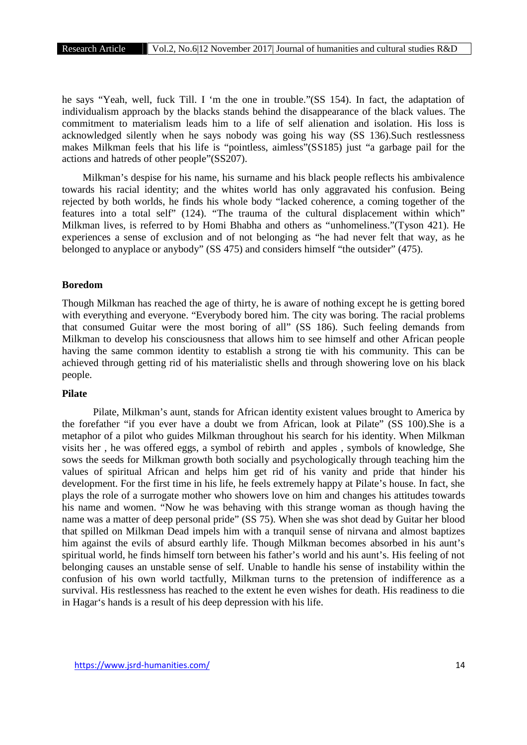he says "Yeah, well, fuck Till. I 'm the one in trouble."(SS 154). In fact, the adaptation of individualism approach by the blacks stands behind the disappearance of the black values. The commitment to materialism leads him to a life of self alienation and isolation. His loss is acknowledged silently when he says nobody was going his way (SS 136).Such restlessness makes Milkman feels that his life is "pointless, aimless"(SS185) just "a garbage pail for the actions and hatreds of other people"(SS207).

Milkman's despise for his name, his surname and his black people reflects his ambivalence towards his racial identity; and the whites world has only aggravated his confusion. Being rejected by both worlds, he finds his whole body "lacked coherence, a coming together of the features into a total self" (124). "The trauma of the cultural displacement within which" Milkman lives, is referred to by Homi Bhabha and others as "unhomeliness."(Tyson 421). He experiences a sense of exclusion and of not belonging as "he had never felt that way, as he belonged to anyplace or anybody" (SS 475) and considers himself "the outsider" (475).

# **Boredom**

Though Milkman has reached the age of thirty, he is aware of nothing except he is getting bored with everything and everyone. "Everybody bored him. The city was boring. The racial problems that consumed Guitar were the most boring of all" (SS 186). Such feeling demands from Milkman to develop his consciousness that allows him to see himself and other African people having the same common identity to establish a strong tie with his community. This can be achieved through getting rid of his materialistic shells and through showering love on his black people.

# **Pilate**

Pilate, Milkman's aunt, stands for African identity existent values brought to America by the forefather "if you ever have a doubt we from African, look at Pilate" (SS 100).She is a metaphor of a pilot who guides Milkman throughout his search for his identity. When Milkman visits her , he was offered eggs, a symbol of rebirth and apples , symbols of knowledge, She sows the seeds for Milkman growth both socially and psychologically through teaching him the values of spiritual African and helps him get rid of his vanity and pride that hinder his development. For the first time in his life, he feels extremely happy at Pilate's house. In fact, she plays the role of a surrogate mother who showers love on him and changes his attitudes towards his name and women. "Now he was behaving with this strange woman as though having the name was a matter of deep personal pride" (SS 75). When she was shot dead by Guitar her blood that spilled on Milkman Dead impels him with a tranquil sense of nirvana and almost baptizes him against the evils of absurd earthly life. Though Milkman becomes absorbed in his aunt's spiritual world, he finds himself torn between his father's world and his aunt's. His feeling of not belonging causes an unstable sense of self. Unable to handle his sense of instability within the confusion of his own world tactfully, Milkman turns to the pretension of indifference as a survival. His restlessness has reached to the extent he even wishes for death. His readiness to die in Hagar's hands is a result of his deep depression with his life.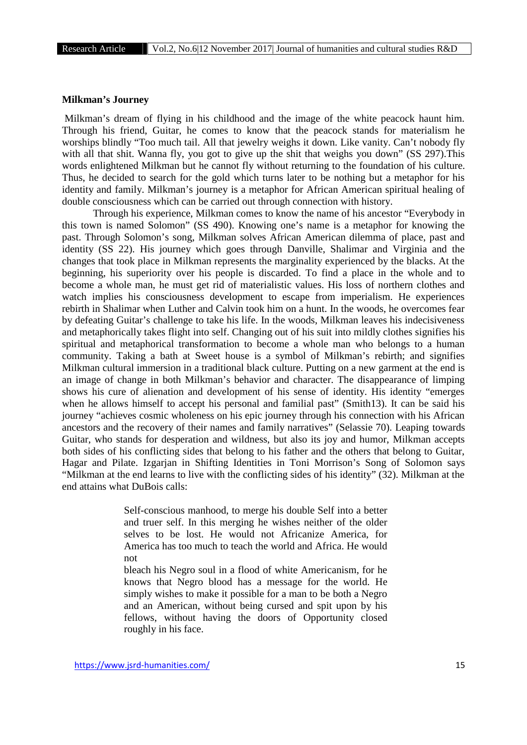#### **Milkman's Journey**

Milkman's dream of flying in his childhood and the image of the white peacock haunt him. Through his friend, Guitar, he comes to know that the peacock stands for materialism he worships blindly "Too much tail. All that jewelry weighs it down. Like vanity. Can't nobody fly with all that shit. Wanna fly, you got to give up the shit that weighs you down" (SS 297). This words enlightened Milkman but he cannot fly without returning to the foundation of his culture. Thus, he decided to search for the gold which turns later to be nothing but a metaphor for his identity and family. Milkman's journey is a metaphor for African American spiritual healing of double consciousness which can be carried out through connection with history.

Through his experience, Milkman comes to know the name of his ancestor "Everybody in this town is named Solomon" (SS 490). Knowing one's name is a metaphor for knowing the past. Through Solomon's song, Milkman solves African American dilemma of place, past and identity (SS 22). His journey which goes through Danville, Shalimar and Virginia and the changes that took place in Milkman represents the marginality experienced by the blacks. At the beginning, his superiority over his people is discarded. To find a place in the whole and to become a whole man, he must get rid of materialistic values. His loss of northern clothes and watch implies his consciousness development to escape from imperialism. He experiences rebirth in Shalimar when Luther and Calvin took him on a hunt. In the woods, he overcomes fear by defeating Guitar's challenge to take his life. In the woods, Milkman leaves his indecisiveness and metaphorically takes flight into self. Changing out of his suit into mildly clothes signifies his spiritual and metaphorical transformation to become a whole man who belongs to a human community. Taking a bath at Sweet house is a symbol of Milkman's rebirth; and signifies Milkman cultural immersion in a traditional black culture. Putting on a new garment at the end is an image of change in both Milkman's behavior and character. The disappearance of limping shows his cure of alienation and development of his sense of identity. His identity "emerges when he allows himself to accept his personal and familial past" (Smith13). It can be said his journey "achieves cosmic wholeness on his epic journey through his connection with his African ancestors and the recovery of their names and family narratives" (Selassie 70). Leaping towards Guitar, who stands for desperation and wildness, but also its joy and humor, Milkman accepts both sides of his conflicting sides that belong to his father and the others that belong to Guitar, Hagar and Pilate. Izgarjan in Shifting Identities in Toni Morrison's Song of Solomon says "Milkman at the end learns to live with the conflicting sides of his identity" (32). Milkman at the end attains what DuBois calls:

> Self-conscious manhood, to merge his double Self into a better and truer self. In this merging he wishes neither of the older selves to be lost. He would not Africanize America, for America has too much to teach the world and Africa. He would not

> bleach his Negro soul in a flood of white Americanism, for he knows that Negro blood has a message for the world. He simply wishes to make it possible for a man to be both a Negro and an American, without being cursed and spit upon by his fellows, without having the doors of Opportunity closed roughly in his face.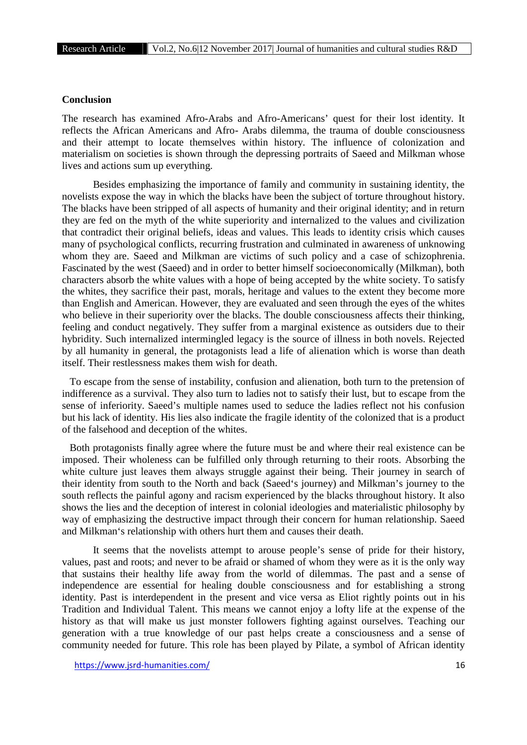# **Conclusion**

The research has examined Afro-Arabs and Afro-Americans' quest for their lost identity. It reflects the African Americans and Afro- Arabs dilemma, the trauma of double consciousness and their attempt to locate themselves within history. The influence of colonization and materialism on societies is shown through the depressing portraits of Saeed and Milkman whose lives and actions sum up everything.

Besides emphasizing the importance of family and community in sustaining identity, the novelists expose the way in which the blacks have been the subject of torture throughout history. The blacks have been stripped of all aspects of humanity and their original identity; and in return they are fed on the myth of the white superiority and internalized to the values and civilization that contradict their original beliefs, ideas and values. This leads to identity crisis which causes many of psychological conflicts, recurring frustration and culminated in awareness of unknowing whom they are. Saeed and Milkman are victims of such policy and a case of schizophrenia. Fascinated by the west (Saeed) and in order to better himself socioeconomically (Milkman), both characters absorb the white values with a hope of being accepted by the white society. To satisfy the whites, they sacrifice their past, morals, heritage and values to the extent they become more than English and American. However, they are evaluated and seen through the eyes of the whites who believe in their superiority over the blacks. The double consciousness affects their thinking, feeling and conduct negatively. They suffer from a marginal existence as outsiders due to their hybridity. Such internalized intermingled legacy is the source of illness in both novels. Rejected by all humanity in general, the protagonists lead a life of alienation which is worse than death itself. Their restlessness makes them wish for death.

To escape from the sense of instability, confusion and alienation, both turn to the pretension of indifference as a survival. They also turn to ladies not to satisfy their lust, but to escape from the sense of inferiority. Saeed's multiple names used to seduce the ladies reflect not his confusion but his lack of identity. His lies also indicate the fragile identity of the colonized that is a product of the falsehood and deception of the whites.

Both protagonists finally agree where the future must be and where their real existence can be imposed. Their wholeness can be fulfilled only through returning to their roots. Absorbing the white culture just leaves them always struggle against their being. Their journey in search of their identity from south to the North and back (Saeed's journey) and Milkman's journey to the south reflects the painful agony and racism experienced by the blacks throughout history. It also shows the lies and the deception of interest in colonial ideologies and materialistic philosophy by way of emphasizing the destructive impact through their concern for human relationship. Saeed and Milkman's relationship with others hurt them and causes their death.

It seems that the novelists attempt to arouse people's sense of pride for their history, values, past and roots; and never to be afraid or shamed of whom they were as it is the only way that sustains their healthy life away from the world of dilemmas. The past and a sense of independence are essential for healing double consciousness and for establishing a strong identity. Past is interdependent in the present and vice versa as Eliot rightly points out in his Tradition and Individual Talent. This means we cannot enjoy a lofty life at the expense of the history as that will make us just monster followers fighting against ourselves. Teaching our generation with a true knowledge of our past helps create a consciousness and a sense of community needed for future. This role has been played by Pilate, a symbol of African identity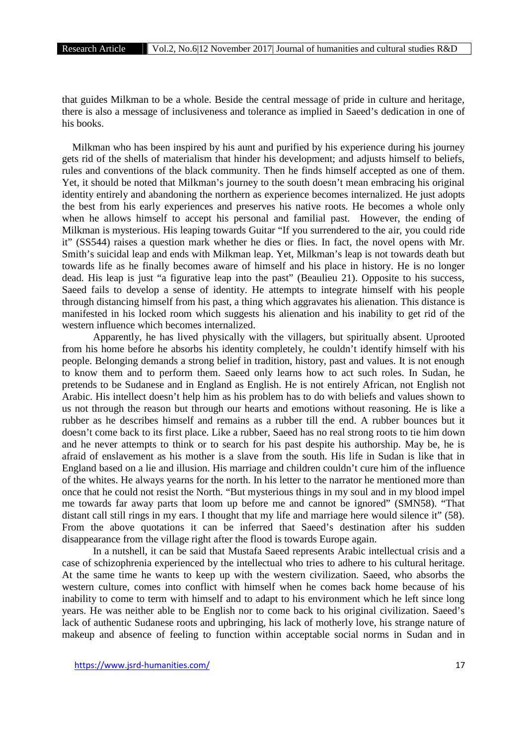that guides Milkman to be a whole. Beside the central message of pride in culture and heritage, there is also a message of inclusiveness and tolerance as implied in Saeed's dedication in one of his books.

Milkman who has been inspired by his aunt and purified by his experience during his journey gets rid of the shells of materialism that hinder his development; and adjusts himself to beliefs, rules and conventions of the black community. Then he finds himself accepted as one of them. Yet, it should be noted that Milkman's journey to the south doesn't mean embracing his original identity entirely and abandoning the northern as experience becomes internalized. He just adopts the best from his early experiences and preserves his native roots. He becomes a whole only when he allows himself to accept his personal and familial past. However, the ending of Milkman is mysterious. His leaping towards Guitar "If you surrendered to the air, you could ride it" (SS544) raises a question mark whether he dies or flies. In fact, the novel opens with Mr. Smith's suicidal leap and ends with Milkman leap. Yet, Milkman's leap is not towards death but towards life as he finally becomes aware of himself and his place in history. He is no longer dead. His leap is just "a figurative leap into the past" (Beaulieu 21). Opposite to his success, Saeed fails to develop a sense of identity. He attempts to integrate himself with his people through distancing himself from his past, a thing which aggravates his alienation. This distance is manifested in his locked room which suggests his alienation and his inability to get rid of the western influence which becomes internalized.

Apparently, he has lived physically with the villagers, but spiritually absent. Uprooted from his home before he absorbs his identity completely, he couldn't identify himself with his people. Belonging demands a strong belief in tradition, history, past and values. It is not enough to know them and to perform them. Saeed only learns how to act such roles. In Sudan, he pretends to be Sudanese and in England as English. He is not entirely African, not English not Arabic. His intellect doesn't help him as his problem has to do with beliefs and values shown to us not through the reason but through our hearts and emotions without reasoning. He is like a rubber as he describes himself and remains as a rubber till the end. A rubber bounces but it doesn't come back to its first place. Like a rubber, Saeed has no real strong roots to tie him down and he never attempts to think or to search for his past despite his authorship. May be, he is afraid of enslavement as his mother is a slave from the south. His life in Sudan is like that in England based on a lie and illusion. His marriage and children couldn't cure him of the influence of the whites. He always yearns for the north. In his letter to the narrator he mentioned more than once that he could not resist the North. "But mysterious things in my soul and in my blood impel me towards far away parts that loom up before me and cannot be ignored" (SMN58). "That distant call still rings in my ears. I thought that my life and marriage here would silence it" (58). From the above quotations it can be inferred that Saeed's destination after his sudden disappearance from the village right after the flood is towards Europe again.

In a nutshell, it can be said that Mustafa Saeed represents Arabic intellectual crisis and a case of schizophrenia experienced by the intellectual who tries to adhere to his cultural heritage. At the same time he wants to keep up with the western civilization. Saeed, who absorbs the western culture, comes into conflict with himself when he comes back home because of his inability to come to term with himself and to adapt to his environment which he left since long years. He was neither able to be English nor to come back to his original civilization. Saeed's lack of authentic Sudanese roots and upbringing, his lack of motherly love, his strange nature of makeup and absence of feeling to function within acceptable social norms in Sudan and in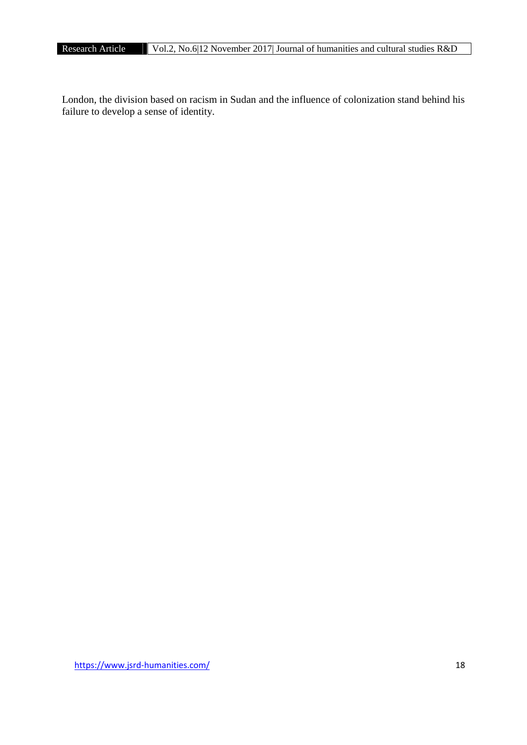London, the division based on racism in Sudan and the influence of colonization stand behind his failure to develop a sense of identity.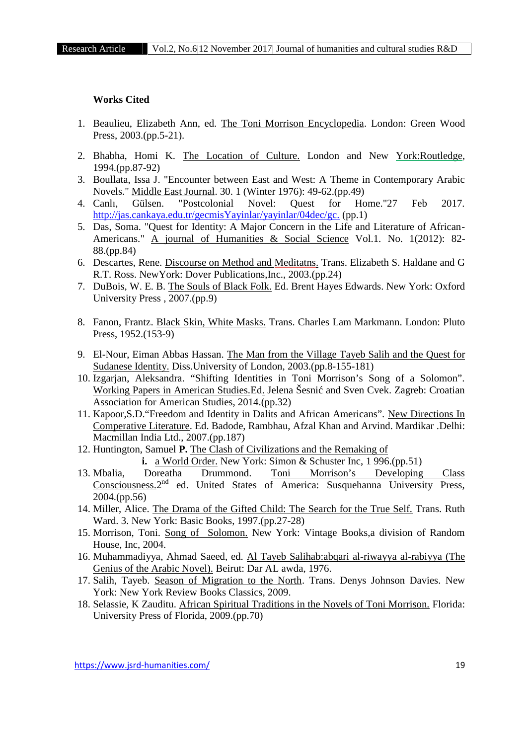### **Works Cited**

- 1. Beaulieu, Elizabeth Ann, ed. The Toni Morrison Encyclopedia. London: Green Wood Press, 2003.(pp.5-21).
- 2. Bhabha, Homi K. The Location of Culture. London and New York:Routledge, 1994.(pp.87-92)
- 3. Boullata, Issa J. "Encounter between East and West: A Theme in Contemporary Arabic Novels." Middle East Journal. 30. 1 (Winter 1976): 49-62.(pp.49)
- 4. Canlı, Gülsen. "Postcolonial Novel: Quest for Home."27 Feb 2017. http://jas.cankaya.edu.tr/gecmisYayinlar/yayinlar/04dec/gc. (pp.1)
- 5. Das, Soma. "Quest for Identity: A Major Concern in the Life and Literature of African- Americans." A journal of Humanities & Social Science Vol.1. No. 1(2012): 82-88.(pp.84)
- 6. Descartes, Rene. Discourse on Method and Meditatns. Trans. Elizabeth S. Haldane and G R.T. Ross. NewYork: Dover Publications,Inc., 2003.(pp.24)
- 7. DuBois, W. E. B. The Souls of Black Folk. Ed. Brent Hayes Edwards. New York: Oxford University Press , 2007.(pp.9)
- 8. Fanon, Frantz. Black Skin, White Masks. Trans. Charles Lam Markmann. London: Pluto Press, 1952.(153-9)
- 9. El-Nour, Eiman Abbas Hassan. The Man from the Village Tayeb Salih and the Quest for Sudanese Identity. Diss.University of London, 2003.(pp.8-155-181)
- 10. Izgarjan, Aleksandra. "Shifting Identities in Toni Morrison's Song of a Solomon". Working Papers in American Studies. Ed. Jelena Šesni and Sven Cvek. Zagreb: Croatian Association for American Studies, 2014.(pp.32)
- 11. Kapoor,S.D."Freedom and Identity in Dalits and African Americans". New Directions In Comperative Literature. Ed. Badode, Rambhau, Afzal Khan and Arvind. Mardikar .Delhi: Macmillan India Ltd., 2007.(pp.187)
- 12. Huntington, Samuel **P.** The Clash of Civilizations and the Remaking of

**i.** a World Order. New York: Simon & Schuster Inc, 1 996.(pp.51)

- 13. Mbalia, Doreatha Drummond. Toni Morrison's Developing Class Consciousness.<sup>2nd</sup> ed. United States of America: Susquehanna University Press, 2004.(pp.56)
- 14. Miller, Alice. The Drama of the Gifted Child: The Search for the True Self. Trans. Ruth Ward. 3. New York: Basic Books, 1997.(pp.27-28)
- 15. Morrison, Toni. Song of Solomon. New York: Vintage Books,a division of Random House, Inc, 2004.
- 16. Muhammadiyya, Ahmad Saeed, ed. Al Tayeb Salihab:abqari al-riwayya al-rabiyya (The Genius of the Arabic Novel). Beirut: Dar AL awda, 1976.
- 17. Salih, Tayeb. Season of Migration to the North. Trans. Denys Johnson Davies. New York: New York Review Books Classics, 2009.
- 18. Selassie, K Zauditu. African Spiritual Traditions in the Novels of Toni Morrison. Florida: University Press of Florida, 2009.(pp.70)